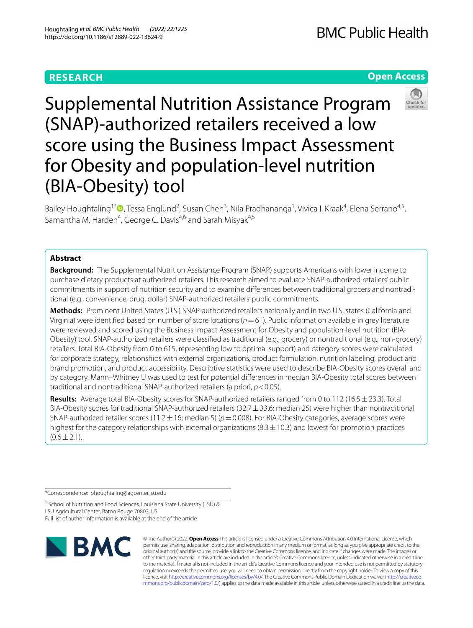# **RESEARCH**

# **Open Access**



Supplemental Nutrition Assistance Program (SNAP)-authorized retailers received a low score using the Business Impact Assessment for Obesity and population-level nutrition (BIA-Obesity) tool

Bailey Houghtaling<sup>1[\\*](http://orcid.org/0000-0003-3301-7258)</sup><sup>®</sup>, Tessa Englund<sup>2</sup>, Susan Chen<sup>3</sup>, Nila Pradhananga<sup>1</sup>, Vivica I. Kraak<sup>4</sup>, Elena Serrano<sup>4,5</sup>, Samantha M. Harden<sup>4</sup>, George C. Davis<sup>4,6</sup> and Sarah Misyak<sup>4,5</sup>

# **Abstract**

**Background:** The Supplemental Nutrition Assistance Program (SNAP) supports Americans with lower income to purchase dietary products at authorized retailers. This research aimed to evaluate SNAP-authorized retailers' public commitments in support of nutrition security and to examine diferences between traditional grocers and nontraditional (e.g., convenience, drug, dollar) SNAP-authorized retailers' public commitments.

**Methods:** Prominent United States (U.S.) SNAP-authorized retailers nationally and in two U.S. states (California and Virginia) were identifed based on number of store locations (*n*=61). Public information available in grey literature were reviewed and scored using the Business Impact Assessment for Obesity and population-level nutrition (BIA-Obesity) tool. SNAP-authorized retailers were classifed as traditional (e.g., grocery) or nontraditional (e.g., non-grocery) retailers. Total BIA-Obesity from 0 to 615, representing low to optimal support) and category scores were calculated for corporate strategy, relationships with external organizations, product formulation, nutrition labeling, product and brand promotion, and product accessibility. Descriptive statistics were used to describe BIA-Obesity scores overall and by category. Mann–Whitney U was used to test for potential diferences in median BIA-Obesity total scores between traditional and nontraditional SNAP-authorized retailers (a priori, *p*<0.05).

**Results:** Average total BIA-Obesity scores for SNAP-authorized retailers ranged from 0 to 112 (16.5±23.3). Total BIA-Obesity scores for traditional SNAP-authorized retailers (32.7 $\pm$ 33.6; median 25) were higher than nontraditional SNAP-authorized retailer scores (11.2 ± 16; median 5) ( $p=0.008$ ). For BIA-Obesity categories, average scores were highest for the category relationships with external organizations  $(8.3 \pm 10.3)$  and lowest for promotion practices  $(0.6 \pm 2.1)$ .

\*Correspondence: bhoughtaling@agcenter.lsu.edu

<sup>1</sup> School of Nutrition and Food Sciences, Louisiana State University (LSU) & LSU Agricultural Center, Baton Rouge 70803, US Full list of author information is available at the end of the article



© The Author(s) 2022. **Open Access** This article is licensed under a Creative Commons Attribution 4.0 International License, which permits use, sharing, adaptation, distribution and reproduction in any medium or format, as long as you give appropriate credit to the original author(s) and the source, provide a link to the Creative Commons licence, and indicate if changes were made. The images or other third party material in this article are included in the article's Creative Commons licence, unless indicated otherwise in a credit line to the material. If material is not included in the article's Creative Commons licence and your intended use is not permitted by statutory regulation or exceeds the permitted use, you will need to obtain permission directly from the copyright holder. To view a copy of this licence, visit [http://creativecommons.org/licenses/by/4.0/.](http://creativecommons.org/licenses/by/4.0/) The Creative Commons Public Domain Dedication waiver ([http://creativeco](http://creativecommons.org/publicdomain/zero/1.0/) [mmons.org/publicdomain/zero/1.0/](http://creativecommons.org/publicdomain/zero/1.0/)) applies to the data made available in this article, unless otherwise stated in a credit line to the data.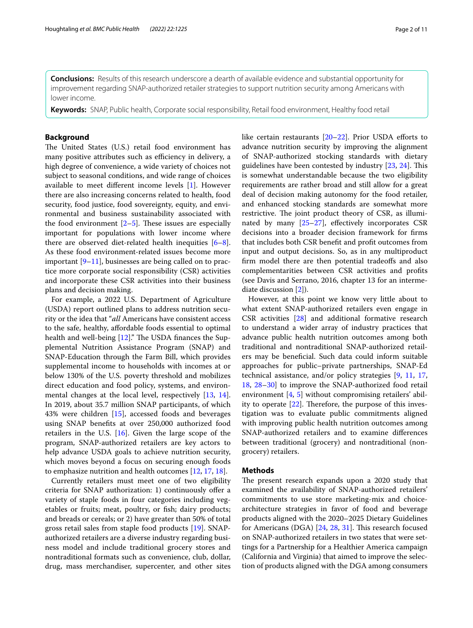**Conclusions:** Results of this research underscore a dearth of available evidence and substantial opportunity for improvement regarding SNAP-authorized retailer strategies to support nutrition security among Americans with lower income.

**Keywords:** SNAP, Public health, Corporate social responsibility, Retail food environment, Healthy food retail

# **Background**

The United States (U.S.) retail food environment has many positive attributes such as efficiency in delivery, a high degree of convenience, a wide variety of choices not subject to seasonal conditions, and wide range of choices available to meet diferent income levels [[1\]](#page-8-0). However there are also increasing concerns related to health, food security, food justice, food sovereignty, equity, and environmental and business sustainability associated with the food environment  $[2-5]$  $[2-5]$  $[2-5]$ . These issues are especially important for populations with lower income where there are observed diet-related health inequities  $[6-8]$  $[6-8]$ . As these food environment-related issues become more important  $[9-11]$  $[9-11]$ , businesses are being called on to practice more corporate social responsibility (CSR) activities and incorporate these CSR activities into their business plans and decision making.

For example, a 2022 U.S. Department of Agriculture (USDA) report outlined plans to address nutrition security or the idea that "*all* Americans have consistent access to the safe, healthy, afordable foods essential to optimal health and well-being  $[12]$  $[12]$ ." The USDA finances the Supplemental Nutrition Assistance Program (SNAP) and SNAP-Education through the Farm Bill, which provides supplemental income to households with incomes at or below 130% of the U.S. poverty threshold and mobilizes direct education and food policy, systems, and environmental changes at the local level, respectively [\[13,](#page-9-6) [14](#page-9-7)]. In 2019, about 35.7 million SNAP participants, of which 43% were children [[15\]](#page-9-8), accessed foods and beverages using SNAP benefts at over 250,000 authorized food retailers in the U.S. [[16\]](#page-9-9). Given the large scope of the program, SNAP-authorized retailers are key actors to help advance USDA goals to achieve nutrition security, which moves beyond a focus on securing enough foods to emphasize nutrition and health outcomes [[12](#page-9-5), [17,](#page-9-10) [18](#page-9-11)].

Currently retailers must meet one of two eligibility criteria for SNAP authorization: 1) continuously ofer a variety of staple foods in four categories including vegetables or fruits; meat, poultry, or fsh; dairy products; and breads or cereals; or 2) have greater than 50% of total gross retail sales from staple food products [[19](#page-9-12)]. SNAPauthorized retailers are a diverse industry regarding business model and include traditional grocery stores and nontraditional formats such as convenience, club, dollar, drug, mass merchandiser, supercenter, and other sites like certain restaurants  $[20-22]$  $[20-22]$  $[20-22]$ . Prior USDA efforts to advance nutrition security by improving the alignment of SNAP-authorized stocking standards with dietary guidelines have been contested by industry  $[23, 24]$  $[23, 24]$  $[23, 24]$ . This is somewhat understandable because the two eligibility requirements are rather broad and still allow for a great deal of decision making autonomy for the food retailer, and enhanced stocking standards are somewhat more restrictive. The joint product theory of CSR, as illuminated by many  $[25-27]$  $[25-27]$ , effectively incorporates CSR decisions into a broader decision framework for frms that includes both CSR beneft and proft outcomes from input and output decisions. So, as in any multiproduct frm model there are then potential tradeofs and also complementarities between CSR activities and profts (see Davis and Serrano, 2016, chapter 13 for an intermediate discussion [\[2\]](#page-8-1)).

However, at this point we know very little about to what extent SNAP-authorized retailers even engage in CSR activities [\[28\]](#page-9-19) and additional formative research to understand a wider array of industry practices that advance public health nutrition outcomes among both traditional and nontraditional SNAP-authorized retailers may be benefcial. Such data could inform suitable approaches for public–private partnerships, SNAP-Ed technical assistance, and/or policy strategies [\[9](#page-9-3), [11](#page-9-4), [17](#page-9-10), [18,](#page-9-11) [28](#page-9-19)[–30\]](#page-9-20) to improve the SNAP-authorized food retail environment [[4,](#page-8-2) [5\]](#page-9-0) without compromising retailers' ability to operate  $[22]$  $[22]$ . Therefore, the purpose of this investigation was to evaluate public commitments aligned with improving public health nutrition outcomes among SNAP-authorized retailers and to examine diferences between traditional (grocery) and nontraditional (nongrocery) retailers.

## **Methods**

The present research expands upon a 2020 study that examined the availability of SNAP-authorized retailers' commitments to use store marketing-mix and choicearchitecture strategies in favor of food and beverage products aligned with the 2020–2025 Dietary Guidelines for Americans (DGA) [[24,](#page-9-16) [28,](#page-9-19) [31\]](#page-9-21). This research focused on SNAP-authorized retailers in two states that were settings for a Partnership for a Healthier America campaign (California and Virginia) that aimed to improve the selection of products aligned with the DGA among consumers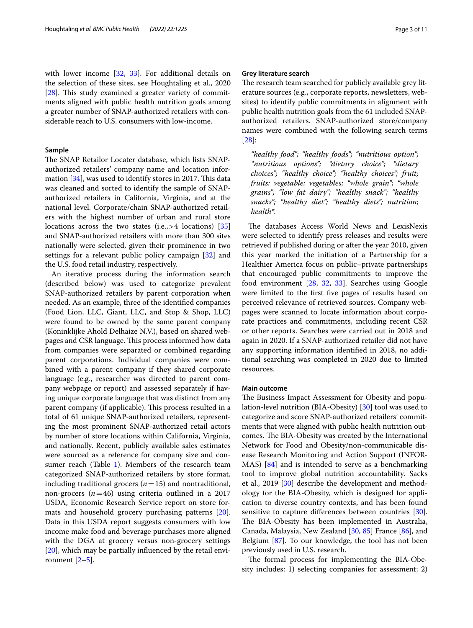with lower income [\[32](#page-9-22), [33](#page-9-23)]. For additional details on the selection of these sites, see Houghtaling et al., 2020  $[28]$  $[28]$ . This study examined a greater variety of commitments aligned with public health nutrition goals among a greater number of SNAP-authorized retailers with considerable reach to U.S. consumers with low-income.

## **Sample**

The SNAP Retailor Locater database, which lists SNAPauthorized retailers' company name and location information  $[34]$  $[34]$ , was used to identify stores in 2017. This data was cleaned and sorted to identify the sample of SNAPauthorized retailers in California, Virginia, and at the national level. Corporate/chain SNAP-authorized retailers with the highest number of urban and rural store locations across the two states (i.e., > 4 locations) [[35](#page-9-25)] and SNAP-authorized retailers with more than 300 sites nationally were selected, given their prominence in two settings for a relevant public policy campaign [\[32](#page-9-22)] and the U.S. food retail industry, respectively.

An iterative process during the information search (described below) was used to categorize prevalent SNAP-authorized retailers by parent corporation when needed. As an example, three of the identifed companies (Food Lion, LLC, Giant, LLC, and Stop & Shop, LLC) were found to be owned by the same parent company (Koninklijke Ahold Delhaize N.V.), based on shared webpages and CSR language. This process informed how data from companies were separated or combined regarding parent corporations. Individual companies were combined with a parent company if they shared corporate language (e.g., researcher was directed to parent company webpage or report) and assessed separately if having unique corporate language that was distinct from any parent company (if applicable). This process resulted in a total of 61 unique SNAP-authorized retailers, representing the most prominent SNAP-authorized retail actors by number of store locations within California, Virginia, and nationally. Recent, publicly available sales estimates were sourced as a reference for company size and con-sumer reach (Table [1](#page-3-0)). Members of the research team categorized SNAP-authorized retailers by store format, including traditional grocers (*n*=15) and nontraditional, non-grocers  $(n=46)$  using criteria outlined in a 2017 USDA, Economic Research Service report on store formats and household grocery purchasing patterns [\[20](#page-9-13)]. Data in this USDA report suggests consumers with low income make food and beverage purchases more aligned with the DGA at grocery versus non-grocery settings [[20\]](#page-9-13), which may be partially infuenced by the retail environment  $[2-5]$  $[2-5]$ .

### **Grey literature search**

The research team searched for publicly available grey literature sources (e.g., corporate reports, newsletters, websites) to identify public commitments in alignment with public health nutrition goals from the 61 included SNAPauthorized retailers. SNAP-authorized store/company names were combined with the following search terms [[28\]](#page-9-19):

*"healthy food"; "healthy foods"; "nutritious option"; "nutritious options"; "dietary choice"; "dietary choices"; "healthy choice"; "healthy choices"; fruit; fruits; vegetable; vegetables; "whole grain"; "whole grains"; "low fat dairy"; "healthy snack"; "healthy snacks"; "healthy diet"; "healthy diets"; nutrition; health\*.*

The databases Access World News and LexisNexis were selected to identify press releases and results were retrieved if published during or after the year 2010, given this year marked the initiation of a Partnership for a Healthier America focus on public–private partnerships that encouraged public commitments to improve the food environment [[28](#page-9-19), [32](#page-9-22), [33\]](#page-9-23). Searches using Google were limited to the frst fve pages of results based on perceived relevance of retrieved sources. Company webpages were scanned to locate information about corporate practices and commitments, including recent CSR or other reports. Searches were carried out in 2018 and again in 2020. If a SNAP-authorized retailer did not have any supporting information identifed in 2018, no additional searching was completed in 2020 due to limited resources.

### **Main outcome**

The Business Impact Assessment for Obesity and population-level nutrition (BIA-Obesity) [\[30](#page-9-20)] tool was used to categorize and score SNAP-authorized retailers' commitments that were aligned with public health nutrition outcomes. The BIA-Obesity was created by the International Network for Food and Obesity/non-communicable disease Research Monitoring and Action Support (INFOR-MAS) [\[84](#page-10-0)] and is intended to serve as a benchmarking tool to improve global nutrition accountability. Sacks et al., 2019 [\[30](#page-9-20)] describe the development and methodology for the BIA-Obesity, which is designed for application to diverse country contexts, and has been found sensitive to capture differences between countries [\[30](#page-9-20)]. The BIA-Obesity has been implemented in Australia, Canada, Malaysia, New Zealand [\[30](#page-9-20), [85\]](#page-10-1) France [[86](#page-10-2)], and Belgium [[87\]](#page-10-3). To our knowledge, the tool has not been previously used in U.S. research.

The formal process for implementing the BIA-Obesity includes: 1) selecting companies for assessment; 2)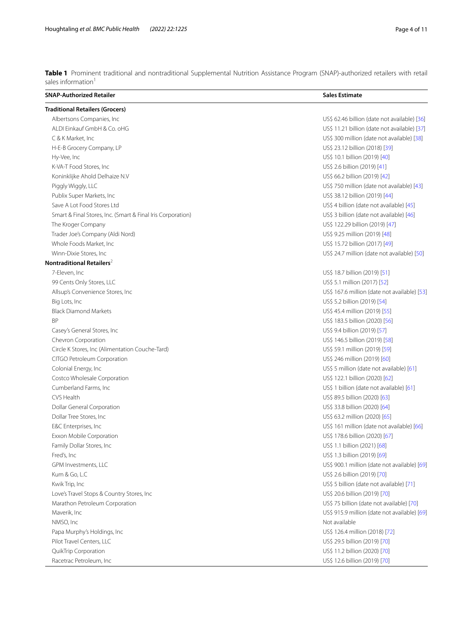<span id="page-3-0"></span>**Table 1** Prominent traditional and nontraditional Supplemental Nutrition Assistance Program (SNAP)-authorized retailers with retail sales information<sup>1</sup>

| <b>Traditional Retailers (Grocers)</b><br>Albertsons Companies, Inc.<br>US\$ 62.46 billion (date not available) [36]<br>ALDI Einkauf GmbH & Co. oHG<br>US\$ 11.21 billion (date not available) [37]<br>US\$ 300 million (date not available) [38]<br>C & K Market, Inc<br>US\$ 23.12 billion (2018) [39]<br>H-E-B Grocery Company, LP<br>US\$ 10.1 billion (2019) [40]<br>Hy-Vee, Inc<br>K-VA-T Food Stores, Inc<br>US\$ 2.6 billion (2019) [41]<br>Koninklijke Ahold Delhaize N.V<br>US\$ 66.2 billion (2019) [42]<br>Piggly Wiggly, LLC<br>US\$750 million (date not available) [43]<br>US\$ 38.12 billion (2019) [44]<br>Publix Super Markets, Inc.<br>Save A Lot Food Stores Ltd<br>US\$ 4 billion (date not available) [45]<br>Smart & Final Stores, Inc. (Smart & Final Iris Corporation)<br>US\$ 3 billion (date not available) [46]<br>US\$ 122.29 billion (2019) [47]<br>The Kroger Company<br>Trader Joe's Company (Aldi Nord)<br>US\$ 9.25 million (2019) [48]<br>Whole Foods Market, Inc<br>US\$ 15.72 billion (2017) [49]<br>Winn-Dixie Stores, Inc.<br>US\$ 24.7 million (date not available) [50]<br>Nontraditional Retailers <sup>2</sup><br>7-Eleven, Inc<br>US\$ 18.7 billion (2019) [51]<br>US\$ 5.1 million (2017) [52]<br>99 Cents Only Stores, LLC<br>Allsup's Convenience Stores, Inc<br>US\$ 167.6 million (date not available) [53]<br>Big Lots, Inc.<br>US\$ 5.2 billion (2019) [54]<br><b>Black Diamond Markets</b><br>US\$ 45.4 million (2019) [55]<br><b>BP</b><br>US\$ 183.5 billion (2020) [56]<br>Casey's General Stores, Inc<br>US\$ 9.4 billion (2019) [57]<br>Chevron Corporation<br>US\$ 146.5 billion (2019) [58]<br>Circle K Stores, Inc (Alimentation Couche-Tard)<br>US\$ 59.1 million (2019) [59]<br>CITGO Petroleum Corporation<br>US\$ 246 million (2019) [60]<br>Colonial Energy, Inc<br>US\$ 5 million (date not available) [61]<br>Costco Wholesale Corporation<br>US\$ 122.1 billion (2020) [62]<br>Cumberland Farms, Inc.<br>US\$ 1 billion (date not available) [61]<br>CVS Health<br>US\$ 89.5 billion (2020) [63]<br>Dollar General Corporation<br>US\$ 33.8 billion (2020) [64]<br>Dollar Tree Stores, Inc.<br>US\$ 63.2 million (2020) [65]<br>E&C Enterprises, Inc<br>US\$ 161 million (date not available) [66]<br>Exxon Mobile Corporation<br>US\$ 178.6 billion (2020) [67]<br>Family Dollar Stores, Inc.<br>US\$ 1.1 billion (2021) [68]<br>Fred's, Inc<br>US\$ 1.3 billion (2019) [69]<br>US\$ 900.1 million (date not available) [69]<br>GPM Investments, LLC<br>Kum & Go, L.C<br>US\$ 2.6 billion (2019) [70]<br>Kwik Trip, Inc<br>US\$ 5 billion (date not available) [71]<br>Love's Travel Stops & Country Stores, Inc<br>US\$ 20.6 billion (2019) [70]<br>Marathon Petroleum Corporation<br>US\$ 75 billion (date not available) [70]<br>US\$ 915.9 million (date not available) [69]<br>Maverik, Inc<br>NMSO, Inc<br>Not available<br>US\$ 126.4 million (2018) [72]<br>Papa Murphy's Holdings, Inc.<br>Pilot Travel Centers, LLC<br>US\$ 29.5 billion (2019) [70]<br>QuikTrip Corporation<br>US\$ 11.2 billion (2020) [70]<br>Racetrac Petroleum, Inc<br>US\$ 12.6 billion (2019) [70] | <b>SNAP-Authorized Retailer</b> | <b>Sales Estimate</b> |  |  |  |
|----------------------------------------------------------------------------------------------------------------------------------------------------------------------------------------------------------------------------------------------------------------------------------------------------------------------------------------------------------------------------------------------------------------------------------------------------------------------------------------------------------------------------------------------------------------------------------------------------------------------------------------------------------------------------------------------------------------------------------------------------------------------------------------------------------------------------------------------------------------------------------------------------------------------------------------------------------------------------------------------------------------------------------------------------------------------------------------------------------------------------------------------------------------------------------------------------------------------------------------------------------------------------------------------------------------------------------------------------------------------------------------------------------------------------------------------------------------------------------------------------------------------------------------------------------------------------------------------------------------------------------------------------------------------------------------------------------------------------------------------------------------------------------------------------------------------------------------------------------------------------------------------------------------------------------------------------------------------------------------------------------------------------------------------------------------------------------------------------------------------------------------------------------------------------------------------------------------------------------------------------------------------------------------------------------------------------------------------------------------------------------------------------------------------------------------------------------------------------------------------------------------------------------------------------------------------------------------------------------------------------------------------------------------------------------------------------------------------------------------------------------------------------------------------------------------------------------------------------------------------------------------------------------------------------------------------------------------------------------------------------------------------------------------------------------------------------------------------------------------------------------------------------------|---------------------------------|-----------------------|--|--|--|
|                                                                                                                                                                                                                                                                                                                                                                                                                                                                                                                                                                                                                                                                                                                                                                                                                                                                                                                                                                                                                                                                                                                                                                                                                                                                                                                                                                                                                                                                                                                                                                                                                                                                                                                                                                                                                                                                                                                                                                                                                                                                                                                                                                                                                                                                                                                                                                                                                                                                                                                                                                                                                                                                                                                                                                                                                                                                                                                                                                                                                                                                                                                                                          |                                 |                       |  |  |  |
|                                                                                                                                                                                                                                                                                                                                                                                                                                                                                                                                                                                                                                                                                                                                                                                                                                                                                                                                                                                                                                                                                                                                                                                                                                                                                                                                                                                                                                                                                                                                                                                                                                                                                                                                                                                                                                                                                                                                                                                                                                                                                                                                                                                                                                                                                                                                                                                                                                                                                                                                                                                                                                                                                                                                                                                                                                                                                                                                                                                                                                                                                                                                                          |                                 |                       |  |  |  |
|                                                                                                                                                                                                                                                                                                                                                                                                                                                                                                                                                                                                                                                                                                                                                                                                                                                                                                                                                                                                                                                                                                                                                                                                                                                                                                                                                                                                                                                                                                                                                                                                                                                                                                                                                                                                                                                                                                                                                                                                                                                                                                                                                                                                                                                                                                                                                                                                                                                                                                                                                                                                                                                                                                                                                                                                                                                                                                                                                                                                                                                                                                                                                          |                                 |                       |  |  |  |
|                                                                                                                                                                                                                                                                                                                                                                                                                                                                                                                                                                                                                                                                                                                                                                                                                                                                                                                                                                                                                                                                                                                                                                                                                                                                                                                                                                                                                                                                                                                                                                                                                                                                                                                                                                                                                                                                                                                                                                                                                                                                                                                                                                                                                                                                                                                                                                                                                                                                                                                                                                                                                                                                                                                                                                                                                                                                                                                                                                                                                                                                                                                                                          |                                 |                       |  |  |  |
|                                                                                                                                                                                                                                                                                                                                                                                                                                                                                                                                                                                                                                                                                                                                                                                                                                                                                                                                                                                                                                                                                                                                                                                                                                                                                                                                                                                                                                                                                                                                                                                                                                                                                                                                                                                                                                                                                                                                                                                                                                                                                                                                                                                                                                                                                                                                                                                                                                                                                                                                                                                                                                                                                                                                                                                                                                                                                                                                                                                                                                                                                                                                                          |                                 |                       |  |  |  |
|                                                                                                                                                                                                                                                                                                                                                                                                                                                                                                                                                                                                                                                                                                                                                                                                                                                                                                                                                                                                                                                                                                                                                                                                                                                                                                                                                                                                                                                                                                                                                                                                                                                                                                                                                                                                                                                                                                                                                                                                                                                                                                                                                                                                                                                                                                                                                                                                                                                                                                                                                                                                                                                                                                                                                                                                                                                                                                                                                                                                                                                                                                                                                          |                                 |                       |  |  |  |
|                                                                                                                                                                                                                                                                                                                                                                                                                                                                                                                                                                                                                                                                                                                                                                                                                                                                                                                                                                                                                                                                                                                                                                                                                                                                                                                                                                                                                                                                                                                                                                                                                                                                                                                                                                                                                                                                                                                                                                                                                                                                                                                                                                                                                                                                                                                                                                                                                                                                                                                                                                                                                                                                                                                                                                                                                                                                                                                                                                                                                                                                                                                                                          |                                 |                       |  |  |  |
|                                                                                                                                                                                                                                                                                                                                                                                                                                                                                                                                                                                                                                                                                                                                                                                                                                                                                                                                                                                                                                                                                                                                                                                                                                                                                                                                                                                                                                                                                                                                                                                                                                                                                                                                                                                                                                                                                                                                                                                                                                                                                                                                                                                                                                                                                                                                                                                                                                                                                                                                                                                                                                                                                                                                                                                                                                                                                                                                                                                                                                                                                                                                                          |                                 |                       |  |  |  |
|                                                                                                                                                                                                                                                                                                                                                                                                                                                                                                                                                                                                                                                                                                                                                                                                                                                                                                                                                                                                                                                                                                                                                                                                                                                                                                                                                                                                                                                                                                                                                                                                                                                                                                                                                                                                                                                                                                                                                                                                                                                                                                                                                                                                                                                                                                                                                                                                                                                                                                                                                                                                                                                                                                                                                                                                                                                                                                                                                                                                                                                                                                                                                          |                                 |                       |  |  |  |
|                                                                                                                                                                                                                                                                                                                                                                                                                                                                                                                                                                                                                                                                                                                                                                                                                                                                                                                                                                                                                                                                                                                                                                                                                                                                                                                                                                                                                                                                                                                                                                                                                                                                                                                                                                                                                                                                                                                                                                                                                                                                                                                                                                                                                                                                                                                                                                                                                                                                                                                                                                                                                                                                                                                                                                                                                                                                                                                                                                                                                                                                                                                                                          |                                 |                       |  |  |  |
|                                                                                                                                                                                                                                                                                                                                                                                                                                                                                                                                                                                                                                                                                                                                                                                                                                                                                                                                                                                                                                                                                                                                                                                                                                                                                                                                                                                                                                                                                                                                                                                                                                                                                                                                                                                                                                                                                                                                                                                                                                                                                                                                                                                                                                                                                                                                                                                                                                                                                                                                                                                                                                                                                                                                                                                                                                                                                                                                                                                                                                                                                                                                                          |                                 |                       |  |  |  |
|                                                                                                                                                                                                                                                                                                                                                                                                                                                                                                                                                                                                                                                                                                                                                                                                                                                                                                                                                                                                                                                                                                                                                                                                                                                                                                                                                                                                                                                                                                                                                                                                                                                                                                                                                                                                                                                                                                                                                                                                                                                                                                                                                                                                                                                                                                                                                                                                                                                                                                                                                                                                                                                                                                                                                                                                                                                                                                                                                                                                                                                                                                                                                          |                                 |                       |  |  |  |
|                                                                                                                                                                                                                                                                                                                                                                                                                                                                                                                                                                                                                                                                                                                                                                                                                                                                                                                                                                                                                                                                                                                                                                                                                                                                                                                                                                                                                                                                                                                                                                                                                                                                                                                                                                                                                                                                                                                                                                                                                                                                                                                                                                                                                                                                                                                                                                                                                                                                                                                                                                                                                                                                                                                                                                                                                                                                                                                                                                                                                                                                                                                                                          |                                 |                       |  |  |  |
|                                                                                                                                                                                                                                                                                                                                                                                                                                                                                                                                                                                                                                                                                                                                                                                                                                                                                                                                                                                                                                                                                                                                                                                                                                                                                                                                                                                                                                                                                                                                                                                                                                                                                                                                                                                                                                                                                                                                                                                                                                                                                                                                                                                                                                                                                                                                                                                                                                                                                                                                                                                                                                                                                                                                                                                                                                                                                                                                                                                                                                                                                                                                                          |                                 |                       |  |  |  |
|                                                                                                                                                                                                                                                                                                                                                                                                                                                                                                                                                                                                                                                                                                                                                                                                                                                                                                                                                                                                                                                                                                                                                                                                                                                                                                                                                                                                                                                                                                                                                                                                                                                                                                                                                                                                                                                                                                                                                                                                                                                                                                                                                                                                                                                                                                                                                                                                                                                                                                                                                                                                                                                                                                                                                                                                                                                                                                                                                                                                                                                                                                                                                          |                                 |                       |  |  |  |
|                                                                                                                                                                                                                                                                                                                                                                                                                                                                                                                                                                                                                                                                                                                                                                                                                                                                                                                                                                                                                                                                                                                                                                                                                                                                                                                                                                                                                                                                                                                                                                                                                                                                                                                                                                                                                                                                                                                                                                                                                                                                                                                                                                                                                                                                                                                                                                                                                                                                                                                                                                                                                                                                                                                                                                                                                                                                                                                                                                                                                                                                                                                                                          |                                 |                       |  |  |  |
|                                                                                                                                                                                                                                                                                                                                                                                                                                                                                                                                                                                                                                                                                                                                                                                                                                                                                                                                                                                                                                                                                                                                                                                                                                                                                                                                                                                                                                                                                                                                                                                                                                                                                                                                                                                                                                                                                                                                                                                                                                                                                                                                                                                                                                                                                                                                                                                                                                                                                                                                                                                                                                                                                                                                                                                                                                                                                                                                                                                                                                                                                                                                                          |                                 |                       |  |  |  |
|                                                                                                                                                                                                                                                                                                                                                                                                                                                                                                                                                                                                                                                                                                                                                                                                                                                                                                                                                                                                                                                                                                                                                                                                                                                                                                                                                                                                                                                                                                                                                                                                                                                                                                                                                                                                                                                                                                                                                                                                                                                                                                                                                                                                                                                                                                                                                                                                                                                                                                                                                                                                                                                                                                                                                                                                                                                                                                                                                                                                                                                                                                                                                          |                                 |                       |  |  |  |
|                                                                                                                                                                                                                                                                                                                                                                                                                                                                                                                                                                                                                                                                                                                                                                                                                                                                                                                                                                                                                                                                                                                                                                                                                                                                                                                                                                                                                                                                                                                                                                                                                                                                                                                                                                                                                                                                                                                                                                                                                                                                                                                                                                                                                                                                                                                                                                                                                                                                                                                                                                                                                                                                                                                                                                                                                                                                                                                                                                                                                                                                                                                                                          |                                 |                       |  |  |  |
|                                                                                                                                                                                                                                                                                                                                                                                                                                                                                                                                                                                                                                                                                                                                                                                                                                                                                                                                                                                                                                                                                                                                                                                                                                                                                                                                                                                                                                                                                                                                                                                                                                                                                                                                                                                                                                                                                                                                                                                                                                                                                                                                                                                                                                                                                                                                                                                                                                                                                                                                                                                                                                                                                                                                                                                                                                                                                                                                                                                                                                                                                                                                                          |                                 |                       |  |  |  |
|                                                                                                                                                                                                                                                                                                                                                                                                                                                                                                                                                                                                                                                                                                                                                                                                                                                                                                                                                                                                                                                                                                                                                                                                                                                                                                                                                                                                                                                                                                                                                                                                                                                                                                                                                                                                                                                                                                                                                                                                                                                                                                                                                                                                                                                                                                                                                                                                                                                                                                                                                                                                                                                                                                                                                                                                                                                                                                                                                                                                                                                                                                                                                          |                                 |                       |  |  |  |
|                                                                                                                                                                                                                                                                                                                                                                                                                                                                                                                                                                                                                                                                                                                                                                                                                                                                                                                                                                                                                                                                                                                                                                                                                                                                                                                                                                                                                                                                                                                                                                                                                                                                                                                                                                                                                                                                                                                                                                                                                                                                                                                                                                                                                                                                                                                                                                                                                                                                                                                                                                                                                                                                                                                                                                                                                                                                                                                                                                                                                                                                                                                                                          |                                 |                       |  |  |  |
|                                                                                                                                                                                                                                                                                                                                                                                                                                                                                                                                                                                                                                                                                                                                                                                                                                                                                                                                                                                                                                                                                                                                                                                                                                                                                                                                                                                                                                                                                                                                                                                                                                                                                                                                                                                                                                                                                                                                                                                                                                                                                                                                                                                                                                                                                                                                                                                                                                                                                                                                                                                                                                                                                                                                                                                                                                                                                                                                                                                                                                                                                                                                                          |                                 |                       |  |  |  |
|                                                                                                                                                                                                                                                                                                                                                                                                                                                                                                                                                                                                                                                                                                                                                                                                                                                                                                                                                                                                                                                                                                                                                                                                                                                                                                                                                                                                                                                                                                                                                                                                                                                                                                                                                                                                                                                                                                                                                                                                                                                                                                                                                                                                                                                                                                                                                                                                                                                                                                                                                                                                                                                                                                                                                                                                                                                                                                                                                                                                                                                                                                                                                          |                                 |                       |  |  |  |
|                                                                                                                                                                                                                                                                                                                                                                                                                                                                                                                                                                                                                                                                                                                                                                                                                                                                                                                                                                                                                                                                                                                                                                                                                                                                                                                                                                                                                                                                                                                                                                                                                                                                                                                                                                                                                                                                                                                                                                                                                                                                                                                                                                                                                                                                                                                                                                                                                                                                                                                                                                                                                                                                                                                                                                                                                                                                                                                                                                                                                                                                                                                                                          |                                 |                       |  |  |  |
|                                                                                                                                                                                                                                                                                                                                                                                                                                                                                                                                                                                                                                                                                                                                                                                                                                                                                                                                                                                                                                                                                                                                                                                                                                                                                                                                                                                                                                                                                                                                                                                                                                                                                                                                                                                                                                                                                                                                                                                                                                                                                                                                                                                                                                                                                                                                                                                                                                                                                                                                                                                                                                                                                                                                                                                                                                                                                                                                                                                                                                                                                                                                                          |                                 |                       |  |  |  |
|                                                                                                                                                                                                                                                                                                                                                                                                                                                                                                                                                                                                                                                                                                                                                                                                                                                                                                                                                                                                                                                                                                                                                                                                                                                                                                                                                                                                                                                                                                                                                                                                                                                                                                                                                                                                                                                                                                                                                                                                                                                                                                                                                                                                                                                                                                                                                                                                                                                                                                                                                                                                                                                                                                                                                                                                                                                                                                                                                                                                                                                                                                                                                          |                                 |                       |  |  |  |
|                                                                                                                                                                                                                                                                                                                                                                                                                                                                                                                                                                                                                                                                                                                                                                                                                                                                                                                                                                                                                                                                                                                                                                                                                                                                                                                                                                                                                                                                                                                                                                                                                                                                                                                                                                                                                                                                                                                                                                                                                                                                                                                                                                                                                                                                                                                                                                                                                                                                                                                                                                                                                                                                                                                                                                                                                                                                                                                                                                                                                                                                                                                                                          |                                 |                       |  |  |  |
|                                                                                                                                                                                                                                                                                                                                                                                                                                                                                                                                                                                                                                                                                                                                                                                                                                                                                                                                                                                                                                                                                                                                                                                                                                                                                                                                                                                                                                                                                                                                                                                                                                                                                                                                                                                                                                                                                                                                                                                                                                                                                                                                                                                                                                                                                                                                                                                                                                                                                                                                                                                                                                                                                                                                                                                                                                                                                                                                                                                                                                                                                                                                                          |                                 |                       |  |  |  |
|                                                                                                                                                                                                                                                                                                                                                                                                                                                                                                                                                                                                                                                                                                                                                                                                                                                                                                                                                                                                                                                                                                                                                                                                                                                                                                                                                                                                                                                                                                                                                                                                                                                                                                                                                                                                                                                                                                                                                                                                                                                                                                                                                                                                                                                                                                                                                                                                                                                                                                                                                                                                                                                                                                                                                                                                                                                                                                                                                                                                                                                                                                                                                          |                                 |                       |  |  |  |
|                                                                                                                                                                                                                                                                                                                                                                                                                                                                                                                                                                                                                                                                                                                                                                                                                                                                                                                                                                                                                                                                                                                                                                                                                                                                                                                                                                                                                                                                                                                                                                                                                                                                                                                                                                                                                                                                                                                                                                                                                                                                                                                                                                                                                                                                                                                                                                                                                                                                                                                                                                                                                                                                                                                                                                                                                                                                                                                                                                                                                                                                                                                                                          |                                 |                       |  |  |  |
|                                                                                                                                                                                                                                                                                                                                                                                                                                                                                                                                                                                                                                                                                                                                                                                                                                                                                                                                                                                                                                                                                                                                                                                                                                                                                                                                                                                                                                                                                                                                                                                                                                                                                                                                                                                                                                                                                                                                                                                                                                                                                                                                                                                                                                                                                                                                                                                                                                                                                                                                                                                                                                                                                                                                                                                                                                                                                                                                                                                                                                                                                                                                                          |                                 |                       |  |  |  |
|                                                                                                                                                                                                                                                                                                                                                                                                                                                                                                                                                                                                                                                                                                                                                                                                                                                                                                                                                                                                                                                                                                                                                                                                                                                                                                                                                                                                                                                                                                                                                                                                                                                                                                                                                                                                                                                                                                                                                                                                                                                                                                                                                                                                                                                                                                                                                                                                                                                                                                                                                                                                                                                                                                                                                                                                                                                                                                                                                                                                                                                                                                                                                          |                                 |                       |  |  |  |
|                                                                                                                                                                                                                                                                                                                                                                                                                                                                                                                                                                                                                                                                                                                                                                                                                                                                                                                                                                                                                                                                                                                                                                                                                                                                                                                                                                                                                                                                                                                                                                                                                                                                                                                                                                                                                                                                                                                                                                                                                                                                                                                                                                                                                                                                                                                                                                                                                                                                                                                                                                                                                                                                                                                                                                                                                                                                                                                                                                                                                                                                                                                                                          |                                 |                       |  |  |  |
|                                                                                                                                                                                                                                                                                                                                                                                                                                                                                                                                                                                                                                                                                                                                                                                                                                                                                                                                                                                                                                                                                                                                                                                                                                                                                                                                                                                                                                                                                                                                                                                                                                                                                                                                                                                                                                                                                                                                                                                                                                                                                                                                                                                                                                                                                                                                                                                                                                                                                                                                                                                                                                                                                                                                                                                                                                                                                                                                                                                                                                                                                                                                                          |                                 |                       |  |  |  |
|                                                                                                                                                                                                                                                                                                                                                                                                                                                                                                                                                                                                                                                                                                                                                                                                                                                                                                                                                                                                                                                                                                                                                                                                                                                                                                                                                                                                                                                                                                                                                                                                                                                                                                                                                                                                                                                                                                                                                                                                                                                                                                                                                                                                                                                                                                                                                                                                                                                                                                                                                                                                                                                                                                                                                                                                                                                                                                                                                                                                                                                                                                                                                          |                                 |                       |  |  |  |
|                                                                                                                                                                                                                                                                                                                                                                                                                                                                                                                                                                                                                                                                                                                                                                                                                                                                                                                                                                                                                                                                                                                                                                                                                                                                                                                                                                                                                                                                                                                                                                                                                                                                                                                                                                                                                                                                                                                                                                                                                                                                                                                                                                                                                                                                                                                                                                                                                                                                                                                                                                                                                                                                                                                                                                                                                                                                                                                                                                                                                                                                                                                                                          |                                 |                       |  |  |  |
|                                                                                                                                                                                                                                                                                                                                                                                                                                                                                                                                                                                                                                                                                                                                                                                                                                                                                                                                                                                                                                                                                                                                                                                                                                                                                                                                                                                                                                                                                                                                                                                                                                                                                                                                                                                                                                                                                                                                                                                                                                                                                                                                                                                                                                                                                                                                                                                                                                                                                                                                                                                                                                                                                                                                                                                                                                                                                                                                                                                                                                                                                                                                                          |                                 |                       |  |  |  |
|                                                                                                                                                                                                                                                                                                                                                                                                                                                                                                                                                                                                                                                                                                                                                                                                                                                                                                                                                                                                                                                                                                                                                                                                                                                                                                                                                                                                                                                                                                                                                                                                                                                                                                                                                                                                                                                                                                                                                                                                                                                                                                                                                                                                                                                                                                                                                                                                                                                                                                                                                                                                                                                                                                                                                                                                                                                                                                                                                                                                                                                                                                                                                          |                                 |                       |  |  |  |
|                                                                                                                                                                                                                                                                                                                                                                                                                                                                                                                                                                                                                                                                                                                                                                                                                                                                                                                                                                                                                                                                                                                                                                                                                                                                                                                                                                                                                                                                                                                                                                                                                                                                                                                                                                                                                                                                                                                                                                                                                                                                                                                                                                                                                                                                                                                                                                                                                                                                                                                                                                                                                                                                                                                                                                                                                                                                                                                                                                                                                                                                                                                                                          |                                 |                       |  |  |  |
|                                                                                                                                                                                                                                                                                                                                                                                                                                                                                                                                                                                                                                                                                                                                                                                                                                                                                                                                                                                                                                                                                                                                                                                                                                                                                                                                                                                                                                                                                                                                                                                                                                                                                                                                                                                                                                                                                                                                                                                                                                                                                                                                                                                                                                                                                                                                                                                                                                                                                                                                                                                                                                                                                                                                                                                                                                                                                                                                                                                                                                                                                                                                                          |                                 |                       |  |  |  |
|                                                                                                                                                                                                                                                                                                                                                                                                                                                                                                                                                                                                                                                                                                                                                                                                                                                                                                                                                                                                                                                                                                                                                                                                                                                                                                                                                                                                                                                                                                                                                                                                                                                                                                                                                                                                                                                                                                                                                                                                                                                                                                                                                                                                                                                                                                                                                                                                                                                                                                                                                                                                                                                                                                                                                                                                                                                                                                                                                                                                                                                                                                                                                          |                                 |                       |  |  |  |
|                                                                                                                                                                                                                                                                                                                                                                                                                                                                                                                                                                                                                                                                                                                                                                                                                                                                                                                                                                                                                                                                                                                                                                                                                                                                                                                                                                                                                                                                                                                                                                                                                                                                                                                                                                                                                                                                                                                                                                                                                                                                                                                                                                                                                                                                                                                                                                                                                                                                                                                                                                                                                                                                                                                                                                                                                                                                                                                                                                                                                                                                                                                                                          |                                 |                       |  |  |  |
|                                                                                                                                                                                                                                                                                                                                                                                                                                                                                                                                                                                                                                                                                                                                                                                                                                                                                                                                                                                                                                                                                                                                                                                                                                                                                                                                                                                                                                                                                                                                                                                                                                                                                                                                                                                                                                                                                                                                                                                                                                                                                                                                                                                                                                                                                                                                                                                                                                                                                                                                                                                                                                                                                                                                                                                                                                                                                                                                                                                                                                                                                                                                                          |                                 |                       |  |  |  |
|                                                                                                                                                                                                                                                                                                                                                                                                                                                                                                                                                                                                                                                                                                                                                                                                                                                                                                                                                                                                                                                                                                                                                                                                                                                                                                                                                                                                                                                                                                                                                                                                                                                                                                                                                                                                                                                                                                                                                                                                                                                                                                                                                                                                                                                                                                                                                                                                                                                                                                                                                                                                                                                                                                                                                                                                                                                                                                                                                                                                                                                                                                                                                          |                                 |                       |  |  |  |
|                                                                                                                                                                                                                                                                                                                                                                                                                                                                                                                                                                                                                                                                                                                                                                                                                                                                                                                                                                                                                                                                                                                                                                                                                                                                                                                                                                                                                                                                                                                                                                                                                                                                                                                                                                                                                                                                                                                                                                                                                                                                                                                                                                                                                                                                                                                                                                                                                                                                                                                                                                                                                                                                                                                                                                                                                                                                                                                                                                                                                                                                                                                                                          |                                 |                       |  |  |  |
|                                                                                                                                                                                                                                                                                                                                                                                                                                                                                                                                                                                                                                                                                                                                                                                                                                                                                                                                                                                                                                                                                                                                                                                                                                                                                                                                                                                                                                                                                                                                                                                                                                                                                                                                                                                                                                                                                                                                                                                                                                                                                                                                                                                                                                                                                                                                                                                                                                                                                                                                                                                                                                                                                                                                                                                                                                                                                                                                                                                                                                                                                                                                                          |                                 |                       |  |  |  |
|                                                                                                                                                                                                                                                                                                                                                                                                                                                                                                                                                                                                                                                                                                                                                                                                                                                                                                                                                                                                                                                                                                                                                                                                                                                                                                                                                                                                                                                                                                                                                                                                                                                                                                                                                                                                                                                                                                                                                                                                                                                                                                                                                                                                                                                                                                                                                                                                                                                                                                                                                                                                                                                                                                                                                                                                                                                                                                                                                                                                                                                                                                                                                          |                                 |                       |  |  |  |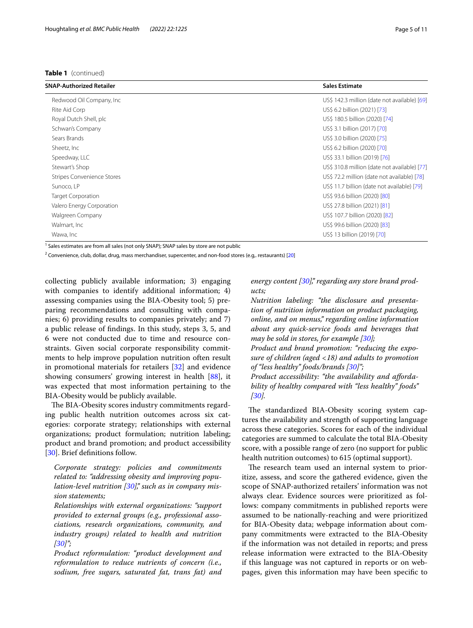## **Table 1** (continued)

| SNAP-Authorized Retailer          | <b>Sales Estimate</b>                        |
|-----------------------------------|----------------------------------------------|
| Redwood Oil Company, Inc.         | US\$ 142.3 million (date not available) [69] |
| Rite Aid Corp                     | US\$ 6.2 billion (2021) [73]                 |
| Royal Dutch Shell, plc            | US\$ 180.5 billion (2020) [74]               |
| Schwan's Company                  | US\$ 3.1 billion (2017) [70]                 |
| Sears Brands                      | US\$ 3.0 billion (2020) [75]                 |
| Sheetz, Inc                       | US\$ 6.2 billion (2020) [70]                 |
| Speedway, LLC                     | US\$ 33.1 billion (2019) [76]                |
| Stewart's Shop                    | US\$ 310.8 million (date not available) [77] |
| <b>Stripes Convenience Stores</b> | US\$ 72.2 million (date not available) [78]  |
| Sunoco, LP                        | US\$ 11.7 billion (date not available) [79]  |
| <b>Target Corporation</b>         | US\$ 93.6 billion (2020) [80]                |
| Valero Energy Corporation         | US\$ 27.8 billion (2021) [81]                |
| Walgreen Company                  | US\$ 107.7 billion (2020) [82]               |
| Walmart, Inc                      | US\$ 99.6 billion (2020) [83]                |
| Wawa, Inc                         | US\$ 13 billion (2019) [70]                  |
|                                   |                                              |

<sup>1</sup> Sales estimates are from all sales (not only SNAP); SNAP sales by store are not public

<sup>2</sup> Convenience, club, dollar, drug, mass merchandiser, supercenter, and non-food stores (e.g,. restaurants) [[20\]](#page-9-13)

collecting publicly available information; 3) engaging with companies to identify additional information; 4) assessing companies using the BIA-Obesity tool; 5) preparing recommendations and consulting with companies; 6) providing results to companies privately; and 7) a public release of fndings. In this study, steps 3, 5, and 6 were not conducted due to time and resource constraints. Given social corporate responsibility commitments to help improve population nutrition often result in promotional materials for retailers [\[32](#page-9-22)] and evidence showing consumers' growing interest in health [[88\]](#page-10-26), it was expected that most information pertaining to the BIA-Obesity would be publicly available.

The BIA-Obesity scores industry commitments regarding public health nutrition outcomes across six categories: corporate strategy; relationships with external organizations; product formulation; nutrition labeling; product and brand promotion; and product accessibility [[30\]](#page-9-20). Brief definitions follow.

*Corporate strategy: policies and commitments related to: "addressing obesity and improving population-level nutrition [\[30](#page-9-20)]," such as in company mission statements;*

*Relationships with external organizations: "support provided to external groups (e.g., professional associations, research organizations, community, and industry groups) related to health and nutrition [\[30](#page-9-20)]";*

*Product reformulation: "product development and reformulation to reduce nutrients of concern (i.e., sodium, free sugars, saturated fat, trans fat) and* 

*energy content [[30\]](#page-9-20)," regarding any store brand products;*

*Nutrition labeling: "the disclosure and presentation of nutrition information on product packaging, online, and on menus," regarding online information about any quick-service foods and beverages that may be sold in stores, for example [\[30](#page-9-20)];*

*Product and brand promotion: "reducing the exposure of children (aged <18) and adults to promotion of "less healthy" foods/brands [\[30](#page-9-20)]";*

Product accessibility: "the availability and afforda*bility of healthy compared with "less healthy" foods" [\[30](#page-9-20)].*

The standardized BIA-Obesity scoring system captures the availability and strength of supporting language across these categories. Scores for each of the individual categories are summed to calculate the total BIA-Obesity score, with a possible range of zero (no support for public health nutrition outcomes) to 615 (optimal support).

The research team used an internal system to prioritize, assess, and score the gathered evidence, given the scope of SNAP-authorized retailers' information was not always clear. Evidence sources were prioritized as follows: company commitments in published reports were assumed to be nationally-reaching and were prioritized for BIA-Obesity data; webpage information about company commitments were extracted to the BIA-Obesity if the information was not detailed in reports; and press release information were extracted to the BIA-Obesity if this language was not captured in reports or on webpages, given this information may have been specifc to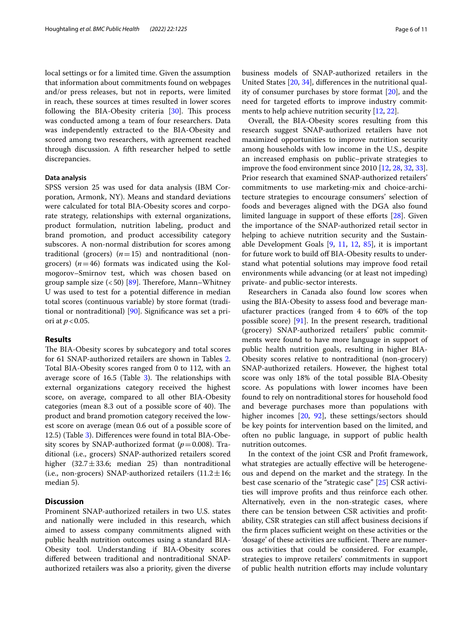local settings or for a limited time. Given the assumption that information about commitments found on webpages and/or press releases, but not in reports, were limited in reach, these sources at times resulted in lower scores following the BIA-Obesity criteria  $[30]$  $[30]$ . This process was conducted among a team of four researchers. Data was independently extracted to the BIA-Obesity and scored among two researchers, with agreement reached through discussion. A ffth researcher helped to settle discrepancies.

### **Data analysis**

SPSS version 25 was used for data analysis (IBM Corporation, Armonk, NY). Means and standard deviations were calculated for total BIA-Obesity scores and corporate strategy, relationships with external organizations, product formulation, nutrition labeling, product and brand promotion, and product accessibility category subscores. A non-normal distribution for scores among traditional (grocers)  $(n=15)$  and nontraditional (nongrocers)  $(n=46)$  formats was indicated using the Kolmogorov–Smirnov test, which was chosen based on group sample size  $(< 50)$  [[89\]](#page-10-38). Therefore, Mann–Whitney U was used to test for a potential diference in median total scores (continuous variable) by store format (traditional or nontraditional) [[90\]](#page-10-39). Signifcance was set a priori at *p*<0.05.

## **Results**

The BIA-Obesity scores by subcategory and total scores for 61 SNAP-authorized retailers are shown in Tables [2](#page-6-0). Total BIA-Obesity scores ranged from 0 to 112, with an average score of  $16.5$  (Table [3](#page-7-0)). The relationships with external organizations category received the highest score, on average, compared to all other BIA-Obesity categories (mean 8.3 out of a possible score of 40). The product and brand promotion category received the lowest score on average (mean 0.6 out of a possible score of 12.5) (Table [3](#page-7-0)). Diferences were found in total BIA-Obesity scores by SNAP-authorized format  $(p=0.008)$ . Traditional (i.e., grocers) SNAP-authorized retailers scored higher  $(32.7 \pm 33.6;$  median 25) than nontraditional (i.e., non-grocers) SNAP-authorized retailers  $(11.2 \pm 16;$ median 5).

# **Discussion**

Prominent SNAP-authorized retailers in two U.S. states and nationally were included in this research, which aimed to assess company commitments aligned with public health nutrition outcomes using a standard BIA-Obesity tool. Understanding if BIA-Obesity scores difered between traditional and nontraditional SNAPauthorized retailers was also a priority, given the diverse

business models of SNAP-authorized retailers in the United States [\[20](#page-9-13), [34\]](#page-9-24), diferences in the nutritional quality of consumer purchases by store format [\[20](#page-9-13)], and the need for targeted efforts to improve industry commitments to help achieve nutrition security [[12,](#page-9-5) [22\]](#page-9-14).

Overall, the BIA-Obesity scores resulting from this research suggest SNAP-authorized retailers have not maximized opportunities to improve nutrition security among households with low income in the U.S., despite an increased emphasis on public–private strategies to improve the food environment since 2010 [\[12](#page-9-5), [28](#page-9-19), [32,](#page-9-22) [33](#page-9-23)]. Prior research that examined SNAP-authorized retailers' commitments to use marketing-mix and choice-architecture strategies to encourage consumers' selection of foods and beverages aligned with the DGA also found limited language in support of these eforts [\[28](#page-9-19)]. Given the importance of the SNAP-authorized retail sector in helping to achieve nutrition security and the Sustainable Development Goals  $[9, 11, 12, 85]$  $[9, 11, 12, 85]$  $[9, 11, 12, 85]$  $[9, 11, 12, 85]$  $[9, 11, 12, 85]$  $[9, 11, 12, 85]$  $[9, 11, 12, 85]$  $[9, 11, 12, 85]$ , it is important for future work to build of BIA-Obesity results to understand what potential solutions may improve food retail environments while advancing (or at least not impeding) private- and public-sector interests.

Researchers in Canada also found low scores when using the BIA-Obesity to assess food and beverage manufacturer practices (ranged from 4 to 60% of the top possible score) [\[91\]](#page-10-40). In the present research, traditional (grocery) SNAP-authorized retailers' public commitments were found to have more language in support of public health nutrition goals, resulting in higher BIA-Obesity scores relative to nontraditional (non-grocery) SNAP-authorized retailers. However, the highest total score was only 18% of the total possible BIA-Obesity score. As populations with lower incomes have been found to rely on nontraditional stores for household food and beverage purchases more than populations with higher incomes [\[20](#page-9-13), [92](#page-10-41)], these settings/sectors should be key points for intervention based on the limited, and often no public language, in support of public health nutrition outcomes.

In the context of the joint CSR and Proft framework, what strategies are actually effective will be heterogeneous and depend on the market and the strategy. In the best case scenario of the "strategic case" [\[25](#page-9-17)] CSR activities will improve profts and thus reinforce each other. Alternatively, even in the non-strategic cases, where there can be tension between CSR activities and proftability, CSR strategies can still afect business decisions if the firm places sufficient weight on these activities or the 'dosage' of these activities are sufficient. There are numerous activities that could be considered. For example, strategies to improve retailers' commitments in support of public health nutrition efforts may include voluntary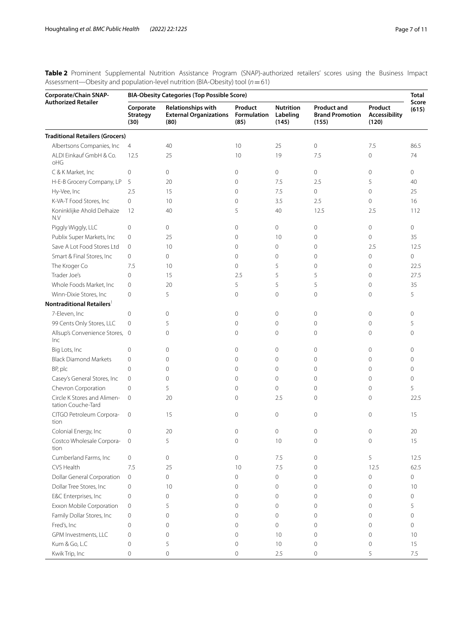<span id="page-6-0"></span>**Table 2** Prominent Supplemental Nutrition Assistance Program (SNAP)-authorized retailers' scores using the Business Impact Assessment—Obesity and population-level nutrition (BIA-Obesity) tool (*n*=61)

| <b>Authorized Retailer</b><br><b>Relationships with</b><br>Product<br><b>Nutrition</b><br><b>Product and</b><br>Product<br>Corporate<br><b>External Organizations</b><br>Formulation<br>Labeling<br><b>Brand Promotion</b><br>Accessibility<br><b>Strategy</b><br>(85)<br>(120)<br>(30)<br>(80)<br>(145)<br>(155)<br><b>Traditional Retailers (Grocers)</b><br>Albertsons Companies, Inc<br>40<br>10<br>25<br>0<br>7.5<br>$\overline{4}$<br>ALDI Einkauf GmbH & Co.<br>12.5<br>25<br>10<br>19<br>7.5<br>$\mathbf 0$<br>oHG<br>0<br>C & K Market, Inc<br>0<br>$\circ$<br>$\mathbf 0$<br>0<br>$\mathbf 0$<br>H-E-B Grocery Company, LP<br>5<br>2.5<br>5<br>$\mathbf 0$<br>7.5<br>20<br>Hy-Vee, Inc<br>2.5<br>15<br>0<br>$\mathbf 0$<br>$\mathbf 0$<br>7.5<br>K-VA-T Food Stores, Inc<br>0<br>10<br>$\mathbf 0$<br>3.5<br>2.5<br>$\mathbf 0$<br>Koninklijke Ahold Delhaize<br>5<br>12<br>40<br>40<br>12.5<br>2.5<br>N.V<br>Piggly Wiggly, LLC<br>$\mathbf 0$<br>0<br>0<br>$\mathbf{0}$<br>$\circ$<br>$\circ$ | Total<br>Score<br>(615) |
|-----------------------------------------------------------------------------------------------------------------------------------------------------------------------------------------------------------------------------------------------------------------------------------------------------------------------------------------------------------------------------------------------------------------------------------------------------------------------------------------------------------------------------------------------------------------------------------------------------------------------------------------------------------------------------------------------------------------------------------------------------------------------------------------------------------------------------------------------------------------------------------------------------------------------------------------------------------------------------------------------------------|-------------------------|
|                                                                                                                                                                                                                                                                                                                                                                                                                                                                                                                                                                                                                                                                                                                                                                                                                                                                                                                                                                                                           |                         |
|                                                                                                                                                                                                                                                                                                                                                                                                                                                                                                                                                                                                                                                                                                                                                                                                                                                                                                                                                                                                           |                         |
|                                                                                                                                                                                                                                                                                                                                                                                                                                                                                                                                                                                                                                                                                                                                                                                                                                                                                                                                                                                                           | 86.5                    |
|                                                                                                                                                                                                                                                                                                                                                                                                                                                                                                                                                                                                                                                                                                                                                                                                                                                                                                                                                                                                           | 74                      |
|                                                                                                                                                                                                                                                                                                                                                                                                                                                                                                                                                                                                                                                                                                                                                                                                                                                                                                                                                                                                           | 0                       |
|                                                                                                                                                                                                                                                                                                                                                                                                                                                                                                                                                                                                                                                                                                                                                                                                                                                                                                                                                                                                           | 40                      |
|                                                                                                                                                                                                                                                                                                                                                                                                                                                                                                                                                                                                                                                                                                                                                                                                                                                                                                                                                                                                           | 25                      |
|                                                                                                                                                                                                                                                                                                                                                                                                                                                                                                                                                                                                                                                                                                                                                                                                                                                                                                                                                                                                           | 16                      |
|                                                                                                                                                                                                                                                                                                                                                                                                                                                                                                                                                                                                                                                                                                                                                                                                                                                                                                                                                                                                           | 112                     |
|                                                                                                                                                                                                                                                                                                                                                                                                                                                                                                                                                                                                                                                                                                                                                                                                                                                                                                                                                                                                           | 0                       |
| Publix Super Markets, Inc.<br>$\mathbf{0}$<br>$\mathbf 0$<br>25<br>$\mathbf{0}$<br>10<br>$\circ$                                                                                                                                                                                                                                                                                                                                                                                                                                                                                                                                                                                                                                                                                                                                                                                                                                                                                                          | 35                      |
| Save A Lot Food Stores Ltd<br>10<br>0<br>$\mathbf 0$<br>$\mathbf{0}$<br>0<br>2.5                                                                                                                                                                                                                                                                                                                                                                                                                                                                                                                                                                                                                                                                                                                                                                                                                                                                                                                          | 12.5                    |
| Smart & Final Stores, Inc.<br>$\circ$<br>$\circ$<br>$\mathbf{0}$<br>0<br>$\circ$<br>$\mathbf{0}$                                                                                                                                                                                                                                                                                                                                                                                                                                                                                                                                                                                                                                                                                                                                                                                                                                                                                                          | $\mathbf 0$             |
| The Kroger Co<br>$\mathbf{0}$<br>7.5<br>10<br>5<br>$\circ$<br>$\mathbf{0}$                                                                                                                                                                                                                                                                                                                                                                                                                                                                                                                                                                                                                                                                                                                                                                                                                                                                                                                                | 22.5                    |
| Trader Joe's<br>$\mathbf 0$<br>15<br>2.5<br>5<br>5<br>$\mathbf{0}$                                                                                                                                                                                                                                                                                                                                                                                                                                                                                                                                                                                                                                                                                                                                                                                                                                                                                                                                        | 27.5                    |
| Whole Foods Market, Inc<br>20<br>5<br>5<br>0<br>5<br>$\mathbf{0}$                                                                                                                                                                                                                                                                                                                                                                                                                                                                                                                                                                                                                                                                                                                                                                                                                                                                                                                                         | 35                      |
| Winn-Dixie Stores, Inc.<br>5<br>$\mathbf{0}$<br>0<br>$\mathbf 0$<br>0<br>0                                                                                                                                                                                                                                                                                                                                                                                                                                                                                                                                                                                                                                                                                                                                                                                                                                                                                                                                | 5                       |
| Nontraditional Retailers <sup>1</sup>                                                                                                                                                                                                                                                                                                                                                                                                                                                                                                                                                                                                                                                                                                                                                                                                                                                                                                                                                                     |                         |
| 7-Eleven, Inc<br>$\mathbf 0$<br>$\mathbf 0$<br>$\mathbf{0}$<br>$\overline{0}$<br>$\mathbf{0}$<br>0                                                                                                                                                                                                                                                                                                                                                                                                                                                                                                                                                                                                                                                                                                                                                                                                                                                                                                        | $\circ$                 |
| 99 Cents Only Stores, LLC<br>$\mathbf{0}$<br>5<br>$\mathbf{0}$<br>0<br>0<br>$\mathbf{0}$                                                                                                                                                                                                                                                                                                                                                                                                                                                                                                                                                                                                                                                                                                                                                                                                                                                                                                                  | 5                       |
| Allsup's Convenience Stores, 0<br>$\mathbf 0$<br>$\mathbf{0}$<br>$\mathbf 0$<br>$\mathbf{0}$<br>0<br>Inc                                                                                                                                                                                                                                                                                                                                                                                                                                                                                                                                                                                                                                                                                                                                                                                                                                                                                                  | 0                       |
| Big Lots, Inc<br>$\mathbf 0$<br>0<br>0<br>$\mathbf 0$<br>0<br>$\mathbf{0}$                                                                                                                                                                                                                                                                                                                                                                                                                                                                                                                                                                                                                                                                                                                                                                                                                                                                                                                                | $\mathbf{0}$            |
| <b>Black Diamond Markets</b><br>$\mathbf 0$<br>0<br>$\mathbf{0}$<br>$\circ$<br>$\circ$<br>$\mathbf{0}$                                                                                                                                                                                                                                                                                                                                                                                                                                                                                                                                                                                                                                                                                                                                                                                                                                                                                                    | 0                       |
| BP, plc<br>$\mathbf 0$<br>0<br>$\mathbf{0}$<br>0<br>$\circ$<br>$\mathbf{0}$                                                                                                                                                                                                                                                                                                                                                                                                                                                                                                                                                                                                                                                                                                                                                                                                                                                                                                                               | $\mathbf{0}$            |
| Casey's General Stores, Inc<br>$\circ$<br>0<br>$\mathbf{0}$<br>0<br>$\circ$<br>$\mathbf{0}$                                                                                                                                                                                                                                                                                                                                                                                                                                                                                                                                                                                                                                                                                                                                                                                                                                                                                                               | $\mathbf{0}$            |
| Chevron Corporation<br>5<br>$\circ$<br>$\mathbf{0}$<br>0<br>$\circ$<br>$\mathbf{0}$                                                                                                                                                                                                                                                                                                                                                                                                                                                                                                                                                                                                                                                                                                                                                                                                                                                                                                                       | 5                       |
| Circle K Stores and Alimen-<br>$\mathbf{0}$<br>20<br>2.5<br>$\mathbf{0}$<br>$\circ$<br>$\mathbf{0}$<br>tation Couche-Tard                                                                                                                                                                                                                                                                                                                                                                                                                                                                                                                                                                                                                                                                                                                                                                                                                                                                                 | 22.5                    |
| CITGO Petroleum Corpora-<br>15<br>$\mathbf{0}$<br>0<br>$\mathbf{0}$<br>$\mathbf 0$<br>0<br>tion                                                                                                                                                                                                                                                                                                                                                                                                                                                                                                                                                                                                                                                                                                                                                                                                                                                                                                           | 15                      |
| Colonial Energy, Inc<br>20<br>$\mathbf 0$<br>0<br>0<br>$\circ$<br>0                                                                                                                                                                                                                                                                                                                                                                                                                                                                                                                                                                                                                                                                                                                                                                                                                                                                                                                                       | 20                      |
| 5<br>Costco Wholesale Corpora-<br>0<br>0<br>10<br>0<br>0<br>tion                                                                                                                                                                                                                                                                                                                                                                                                                                                                                                                                                                                                                                                                                                                                                                                                                                                                                                                                          | 15                      |
| Cumberland Farms, Inc<br>$\circ$<br>$\mathbf 0$<br>$\circ$<br>7.5<br>$\mathbf 0$<br>5                                                                                                                                                                                                                                                                                                                                                                                                                                                                                                                                                                                                                                                                                                                                                                                                                                                                                                                     | 12.5                    |
| CVS Health<br>7.5<br>25<br>7.5<br>12.5<br>10<br>0                                                                                                                                                                                                                                                                                                                                                                                                                                                                                                                                                                                                                                                                                                                                                                                                                                                                                                                                                         | 62.5                    |
| <b>Dollar General Corporation</b><br>$\circ$<br>$\circ$<br>$\mathbf 0$<br>0<br>0<br>$\mathbf 0$                                                                                                                                                                                                                                                                                                                                                                                                                                                                                                                                                                                                                                                                                                                                                                                                                                                                                                           | $\mathbf 0$             |
| Dollar Tree Stores, Inc<br>$\mathbf 0$<br>10<br>$\mathbf 0$<br>0<br>0<br>$\mathbf 0$                                                                                                                                                                                                                                                                                                                                                                                                                                                                                                                                                                                                                                                                                                                                                                                                                                                                                                                      | 10                      |
| E&C Enterprises, Inc<br>$\mathbf 0$<br>0<br>$\mathbf 0$<br>0<br>0<br>$\mathbf 0$                                                                                                                                                                                                                                                                                                                                                                                                                                                                                                                                                                                                                                                                                                                                                                                                                                                                                                                          | $\mathbf 0$             |
| Exxon Mobile Corporation<br>5<br>$\mathbf 0$<br>$\mathbf 0$<br>0<br>0<br>$\mathbf 0$                                                                                                                                                                                                                                                                                                                                                                                                                                                                                                                                                                                                                                                                                                                                                                                                                                                                                                                      | 5                       |
| Family Dollar Stores, Inc<br>0<br>$\mathbf 0$<br>$\mathsf{O}\xspace$<br>$\mathbf 0$<br>$\mathbf 0$<br>0                                                                                                                                                                                                                                                                                                                                                                                                                                                                                                                                                                                                                                                                                                                                                                                                                                                                                                   | $\mathbf 0$             |
| Fred's, Inc<br>0<br>$\mathbf 0$<br>0<br>$\mathbf 0$<br>0<br>$\mathbf 0$                                                                                                                                                                                                                                                                                                                                                                                                                                                                                                                                                                                                                                                                                                                                                                                                                                                                                                                                   | 0                       |
| GPM Investments, LLC<br>$\mathbf 0$<br>$\mathbf 0$<br>0<br>$\mathbf 0$<br>10<br>$\mathbf 0$                                                                                                                                                                                                                                                                                                                                                                                                                                                                                                                                                                                                                                                                                                                                                                                                                                                                                                               | 10                      |
| Kum & Go, L.C<br>5<br>$\circ$<br>10<br>$\mathbf 0$<br>$\circ$<br>0                                                                                                                                                                                                                                                                                                                                                                                                                                                                                                                                                                                                                                                                                                                                                                                                                                                                                                                                        |                         |
| Kwik Trip, Inc<br>5<br>0<br>0<br>$\overline{0}$<br>2.5<br>0<br>7.5                                                                                                                                                                                                                                                                                                                                                                                                                                                                                                                                                                                                                                                                                                                                                                                                                                                                                                                                        | 15                      |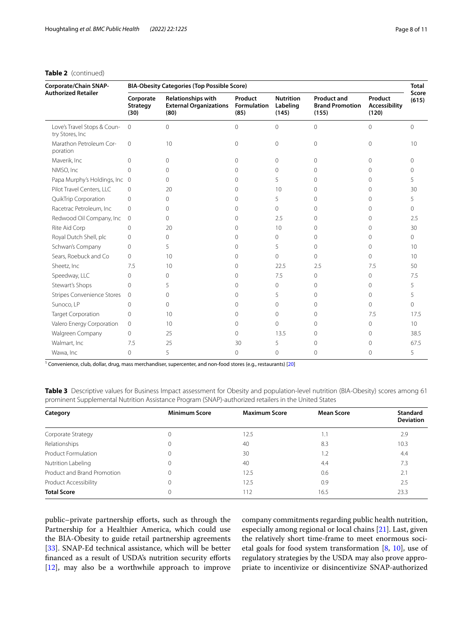# **Table 2** (continued)

| Corporate/Chain SNAP-<br><b>Authorized Retailer</b> | <b>BIA-Obesity Categories (Top Possible Score)</b> |                                                                    |                                       |                                       |                                                       |                                   | <b>Total</b>   |
|-----------------------------------------------------|----------------------------------------------------|--------------------------------------------------------------------|---------------------------------------|---------------------------------------|-------------------------------------------------------|-----------------------------------|----------------|
|                                                     | Corporate<br><b>Strategy</b><br>(30)               | <b>Relationships with</b><br><b>External Organizations</b><br>(80) | Product<br><b>Formulation</b><br>(85) | <b>Nutrition</b><br>Labeling<br>(145) | <b>Product and</b><br><b>Brand Promotion</b><br>(155) | Product<br>Accessibility<br>(120) | Score<br>(615) |
| Love's Travel Stops & Coun-<br>try Stores, Inc      | $\overline{0}$                                     | $\Omega$                                                           | 0                                     | $\overline{0}$                        | $\Omega$                                              | $\mathbf{0}$                      | $\mathbf{0}$   |
| Marathon Petroleum Cor-<br>poration                 | $\Omega$                                           | 10                                                                 | $\Omega$                              | $\overline{0}$                        | $\Omega$                                              | $\Omega$                          | 10             |
| Maverik, Inc                                        | $\Omega$                                           | $\Omega$                                                           | $\Omega$                              | $\Omega$                              | $\Omega$                                              | $\Omega$                          | $\Omega$       |
| NMSO, Inc                                           | $\Omega$                                           | $\Omega$                                                           | $\Omega$                              | 0                                     | $\Omega$                                              | $\Omega$                          | $\Omega$       |
| Papa Murphy's Holdings, Inc 0                       |                                                    | $\Omega$                                                           | $\Omega$                              | 5                                     | 0                                                     | $\Omega$                          | 5              |
| Pilot Travel Centers, LLC                           | $\mathbf{0}$                                       | 20                                                                 | $\Omega$                              | 10                                    | 0                                                     | $\Omega$                          | 30             |
| QuikTrip Corporation                                | $\mathbf{0}$                                       | $\Omega$                                                           | $\Omega$                              | 5                                     | 0                                                     | $\Omega$                          | 5              |
| Racetrac Petroleum, Inc.                            | $\mathbf{0}$                                       | $\Omega$                                                           | $\Omega$                              | $\Omega$                              | 0                                                     | $\cap$                            | $\Omega$       |
| Redwood Oil Company, Inc.                           | $\mathbf 0$                                        | $\Omega$                                                           | $\Omega$                              | 2.5                                   | 0                                                     | $\Omega$                          | 2.5            |
| Rite Aid Corp                                       | $\mathbf{0}$                                       | 20                                                                 | $\Omega$                              | 10                                    | $\Omega$                                              | 0                                 | 30             |
| Royal Dutch Shell, plc                              | 0                                                  | $\Omega$                                                           | $\Omega$                              | 0                                     | 0                                                     | Ω                                 | 0              |
| Schwan's Company                                    | $\Omega$                                           | 5                                                                  | $\Omega$                              | 5                                     | 0                                                     | U                                 | 10             |
| Sears, Roebuck and Co                               | $\Omega$                                           | 10                                                                 | $\Omega$                              | $\Omega$                              | 0                                                     | 0                                 | 10             |
| Sheetz, Inc.                                        | 7.5                                                | 10                                                                 | $\Omega$                              | 22.5                                  | 2.5                                                   | 7.5                               | 50             |
| Speedway, LLC                                       | $\Omega$                                           | $\Omega$                                                           | $\Omega$                              | 7.5                                   | 0                                                     | 0                                 | 7.5            |
| Stewart's Shops                                     | $\Omega$                                           | 5                                                                  | $\Omega$                              | 0                                     | 0                                                     | $\Omega$                          | 5              |
| <b>Stripes Convenience Stores</b>                   | $\Omega$                                           | $\Omega$                                                           | $\Omega$                              | 5                                     | 0                                                     | $\Omega$                          | 5              |
| Sunoco, LP                                          | 0                                                  | $\Omega$                                                           | $\Omega$                              | 0                                     | 0                                                     | $\Omega$                          | 0              |
| <b>Target Corporation</b>                           | $\Omega$                                           | 10                                                                 | $\Omega$                              | $\Omega$                              | 0                                                     | 7.5                               | 17.5           |
| Valero Energy Corporation                           | $\mathbf{0}$                                       | 10                                                                 | $\Omega$                              | $\Omega$                              | 0                                                     | 0                                 | 10             |
| Walgreen Company                                    | $\Omega$                                           | 25                                                                 | $\Omega$                              | 13.5                                  | 0                                                     | $\Omega$                          | 38.5           |
| Walmart, Inc                                        | 7.5                                                | 25                                                                 | 30                                    | 5                                     | 0                                                     | 0                                 | 67.5           |
| Wawa, Inc                                           | 0                                                  | 5                                                                  | $\Omega$                              | 0                                     | 0                                                     | $\Omega$                          | 5              |

<sup>1</sup> Convenience, club, dollar, drug, mass merchandiser, supercenter, and non-food stores (e.g., restaurants) [[20\]](#page-9-13)

<span id="page-7-0"></span>

| Table 3 Descriptive values for Business Impact assessment for Obesity and population-level nutrition (BIA-Obesity) scores among 61 |  |
|------------------------------------------------------------------------------------------------------------------------------------|--|
| prominent Supplemental Nutrition Assistance Program (SNAP)-authorized retailers in the United States                               |  |

| Category                    | <b>Minimum Score</b> | <b>Maximum Score</b> | <b>Mean Score</b> | <b>Standard</b><br><b>Deviation</b> |
|-----------------------------|----------------------|----------------------|-------------------|-------------------------------------|
| Corporate Strategy          | U                    | 12.5                 | Ι.                | 2.9                                 |
| Relationships               | 0                    | 40                   | 8.3               | 10.3                                |
| Product Formulation         | 0                    | 30                   |                   | 4.4                                 |
| Nutrition Labeling          | 0                    | 40                   | 4.4               | 7.3                                 |
| Product and Brand Promotion | U                    | 12.5                 | 0.6               | 2.1                                 |
| Product Accessibility       | U                    | 12.5                 | 0.9               | 2.5                                 |
| <b>Total Score</b>          | U                    | 112                  | 16.5              | 23.3                                |

public-private partnership efforts, such as through the Partnership for a Healthier America, which could use the BIA-Obesity to guide retail partnership agreements [[33\]](#page-9-23). SNAP-Ed technical assistance, which will be better fnanced as a result of USDA's nutrition security eforts [[12\]](#page-9-5), may also be a worthwhile approach to improve company commitments regarding public health nutrition, especially among regional or local chains [[21\]](#page-9-41). Last, given the relatively short time-frame to meet enormous societal goals for food system transformation [\[8](#page-9-2), [10\]](#page-9-42), use of regulatory strategies by the USDA may also prove appropriate to incentivize or disincentivize SNAP-authorized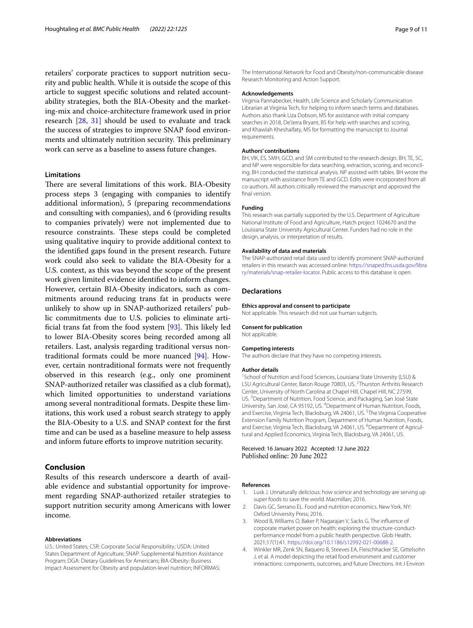retailers' corporate practices to support nutrition security and public health. While it is outside the scope of this article to suggest specifc solutions and related accountability strategies, both the BIA-Obesity and the marketing-mix and choice-architecture framework used in prior research [[28](#page-9-19), [31\]](#page-9-21) should be used to evaluate and track the success of strategies to improve SNAP food environments and ultimately nutrition security. This preliminary work can serve as a baseline to assess future changes.

### **Limitations**

There are several limitations of this work. BIA-Obesity process steps 3 (engaging with companies to identify additional information), 5 (preparing recommendations and consulting with companies), and 6 (providing results to companies privately) were not implemented due to resource constraints. These steps could be completed using qualitative inquiry to provide additional context to the identifed gaps found in the present research. Future work could also seek to validate the BIA-Obesity for a U.S. context, as this was beyond the scope of the present work given limited evidence identifed to inform changes. However, certain BIA-Obesity indicators, such as commitments around reducing trans fat in products were unlikely to show up in SNAP-authorized retailers' public commitments due to U.S. policies to eliminate artificial trans fat from the food system  $[93]$ . This likely led to lower BIA-Obesity scores being recorded among all retailers. Last, analysis regarding traditional versus nontraditional formats could be more nuanced [[94\]](#page-10-43). However, certain nontraditional formats were not frequently observed in this research (e.g., only one prominent SNAP-authorized retailer was classifed as a club format), which limited opportunities to understand variations among several nontraditional formats. Despite these limitations, this work used a robust search strategy to apply the BIA-Obesity to a U.S. and SNAP context for the frst time and can be used as a baseline measure to help assess and inform future efforts to improve nutrition security.

# **Conclusion**

Results of this research underscore a dearth of available evidence and substantial opportunity for improvement regarding SNAP-authorized retailer strategies to support nutrition security among Americans with lower income.

#### **Abbreviations**

U.S.: United States; CSR: Corporate Social Responsibility; USDA: United States Department of Agriculture; SNAP: Supplemental Nutrition Assistance Program; DGA: Dietary Guidelines for Americans; BIA-Obesity: Business Impact Assessment for Obesity and population-level nutrition; INFORMAS:

The International Network for Food and Obesity/non-communicable disease Research Monitoring and Action Support.

### **Acknowledgements**

Virginia Pannabecker, Health, Life Science and Scholarly Communication Librarian at Virginia Tech, for helping to inform search terms and databases. Authors also thank Liza Dobson, MS for assistance with initial company searches in 2018, De'Jerra Bryant, BS for help with searches and scoring, and Khawlah Kheshaifaty, MS for formatting the manuscript to Journal requirements.

### **Authors' contributions**

BH, VIK, ES, SMH, GCD, and SM contributed to the research design. BH, TE, SC, and NP were responsible for data searching, extraction, scoring, and reconciling. BH conducted the statistical analysis. NP assisted with tables. BH wrote the manuscript with assistance from TE and GCD. Edits were incorporated from all co-authors. All authors critically reviewed the manuscript and approved the fnal version.

#### **Funding**

This research was partially supported by the U.S. Department of Agriculture National Institute of Food and Agriculture, Hatch project 1024670 and the Louisiana State University Agricultural Center. Funders had no role in the design, analysis, or interpretation of results.

#### **Availability of data and materials**

The SNAP-authorized retail data used to identify prominent SNAP-authorized retailers in this research was accessed online: [https://snaped.fns.usda.gov/libra](https://snaped.fns.usda.gov/library/materials/snap-retailer-locator) [ry/materials/snap-retailer-locator.](https://snaped.fns.usda.gov/library/materials/snap-retailer-locator) Public access to this database is open.

### **Declarations**

#### **Ethics approval and consent to participate**

Not applicable. This research did not use human subjects.

#### **Consent for publication**

Not applicable.

#### **Competing interests**

The authors declare that they have no competing interests.

#### **Author details**

<sup>1</sup> School of Nutrition and Food Sciences, Louisiana State University (LSU) & LSU Agricultural Center, Baton Rouge 70803, US. <sup>2</sup>Thurston Arthritis Research Center, University of North Carolina at Chapel Hill, Chapel Hill, NC 27599, US.<sup>3</sup> Department of Nutrition, Food Science, and Packaging, San José State University, San José, CA 95192, US. 4 Department of Human Nutrition, Foods, and Exercise, Virginia Tech, Blacksburg, VA 24061, US. <sup>5</sup>The Virginia Cooperative Extension Family Nutrition Program, Department of Human Nutrition, Foods, and Exercise, Virginia Tech, Blacksburg, VA 24061, US. <sup>6</sup>Department of Agricultural and Applied Economics, Virginia Tech, Blacksburg, VA 24061, US.

### Received: 16 January 2022 Accepted: 12 June 2022 Published online: 20 June 2022

### **References**

- <span id="page-8-0"></span>Lusk J. Unnaturally delicious: how science and technology are serving up super foods to save the world. Macmillan; 2016.
- <span id="page-8-1"></span>2. Davis GC, Serrano EL. Food and nutrition economics. New York, NY: Oxford University Press; 2016.
- 3. Wood B, Williams O, Baker P, Nagarajan V, Sacks G. The infuence of corporate market power on health: exploring the structure-conductperformance model from a public health perspective. Glob Health. 2021;17(1):41. [https://doi.org/10.1186/s12992-021-00688-2.](https://doi.org/10.1186/s12992-021-00688-2)
- <span id="page-8-2"></span>4. Winkler MR, Zenk SN, Baquero B, Steeves EA, Fleischhacker SE, Gittelsohn J, et al. A model depicting the retail food environment and customer interactions: components, outcomes, and future Directions. Int J Environ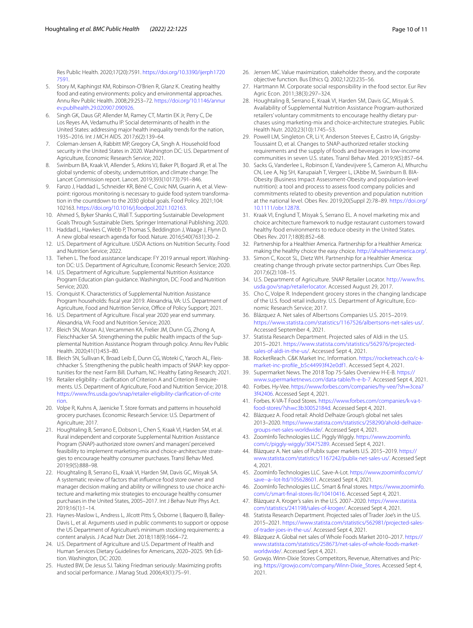Res Public Health. 2020;17(20):7591. [https://doi.org/10.3390/ijerph1720](https://doi.org/10.3390/ijerph17207591) [7591](https://doi.org/10.3390/ijerph17207591).

- <span id="page-9-0"></span>5. Story M, Kaphingst KM, Robinson-O'Brien R, Glanz K. Creating healthy food and eating environments: policy and environmental approaches. Annu Rev Public Health. 2008;29:253–72. [https://doi.org/10.1146/annur](https://doi.org/10.1146/annurev.publhealth.29.020907.090926) [ev.publhealth.29.020907.090926.](https://doi.org/10.1146/annurev.publhealth.29.020907.090926)
- <span id="page-9-1"></span>6. Singh GK, Daus GP, Allender M, Ramey CT, Martin EK Jr, Perry C, De Los Reyes AA, Vedamuthu IP. Social determinants of health in the United States: addressing major health inequality trends for the nation, 1935–2016. Int J MCH AIDS. 2017;6(2):139–64.
- 7. Coleman-Jensen A, Rabbitt MP, Gregory CA, Singh A. Household food security in the United States in 2020. Washington DC: U.S. Department of Agriculture, Economic Research Service; 2021.
- <span id="page-9-2"></span>Swinburn BA, Kraak VI, Allender S, Atkins VJ, Baker PI, Bogard JR, et al. The global syndemic of obesity, undernutrition, and climate change: The Lancet Commission report. Lancet. 2019;393(10173):791–846.
- <span id="page-9-3"></span>9. Fanzo J, Haddad L, Schneider KR, Béné C, Covic NM, Guarin A, et al. Viewpoint: rigorous monitoring is necessary to guide food system transformation in the countdown to the 2030 global goals. Food Policy. 2021;104: 102163. <https://doi.org/10.1016/j.foodpol.2021.102163>.
- <span id="page-9-42"></span>10. Ahmed S, Byker Shanks C, Wall T. Supporting Sustainable Development Goals Through Sustainable Diets. Springer International Publishing; 2020.
- <span id="page-9-4"></span>11. Haddad L, Hawkes C, Webb P, Thomas S, Beddington J, Waage J, Flynn D. A new global research agenda for food. Nature. 2016;540(7631):30–2.
- <span id="page-9-5"></span>12. U.S. Department of Agriculture. USDA Actions on Nutrition Security. Food and Nutrition Service; 2022.
- <span id="page-9-6"></span>13. Tiehen L. The food assistance landscape: FY 2019 annual report. Washington DC: U.S. Department of Agriculture, Economic Research Service; 2020.
- <span id="page-9-7"></span>14. U.S. Department of Agriculture. Supplemental Nutrition Assistance Program Education plan guidance. Washington, DC: Food and Nutrition Service; 2020.
- <span id="page-9-8"></span>15. Cronquist K. Characteristics of Supplemental Nutrition Assistance Program households: fscal year 2019. Alexandria, VA: U.S. Department of Agriculture, Food and Nutrition Service, Office of Policy Support; 2021.
- <span id="page-9-9"></span>16. U.S. Department of Agriculture. Fiscal year 2020 year end summary*.* Alexandria, VA: Food and Nutrition Service; 2020.
- <span id="page-9-10"></span>17. Bleich SN, Moran AJ, Vercammen KA, Frelier JM, Dunn CG, Zhong A, Fleischhacker SA. Strengthening the public health impacts of the Supplemental Nutrition Assistance Program through policy. Annu Rev Public Health. 2020;41(1):453–80.
- <span id="page-9-11"></span>18. Bleich SN, Sullivan K, Broad Leib E, Dunn CG, Woteki C, Yaroch AL, Fleischhacker S. Strengthening the public health impacts of SNAP: key opportunities for the next Farm Bill*.* Durham, NC: Healthy Eating Research; 2021.
- <span id="page-9-12"></span>19. Retailer eligibility - clarifcation of Criterion A and Criterion B requirements. U.S. Department of Agriculture, Food and Nutrition Service; 2018. [https://www.fns.usda.gov/snap/retailer-eligibility-clarifcation-of-crite](https://www.fns.usda.gov/snap/retailer-eligibility-clarification-of-criterion) [rion.](https://www.fns.usda.gov/snap/retailer-eligibility-clarification-of-criterion)
- <span id="page-9-13"></span>20. Volpe R, Kuhns A, Jaenicke T. Store formats and patterns in household grocery purchases. Economic Research Service: U.S. Department of Agriculture; 2017.
- <span id="page-9-41"></span>21. Houghtaling B, Serrano E, Dobson L, Chen S, Kraak VI, Harden SM, et al. Rural independent and corporate Supplemental Nutrition Assistance Program (SNAP)-authorized store owners' and managers' perceived feasibility to implement marketing-mix and choice-architecture strategies to encourage healthy consumer purchases. Transl Behav Med. 2019;9(5):888–98.
- <span id="page-9-14"></span>22. Houghtaling B, Serrano EL, Kraak VI, Harden SM, Davis GC, Misyak SA. A systematic review of factors that infuence food store owner and manager decision making and ability or willingness to use choice architecture and marketing mix strategies to encourage healthy consumer purchases in the United States, 2005–2017. Int J Behav Nutr Phys Act. 2019;16(1):1–14.
- <span id="page-9-15"></span>23. Haynes-Maslow L, Andress L, Jilcott Pitts S, Osborne I, Baquero B, Bailey-Davis L, et al. Arguments used in public comments to support or oppose the US Department of Agriculture's minimum stocking requirements: a content analysis. J Acad Nutr Diet. 2018;118(9):1664–72.
- <span id="page-9-16"></span>24. U.S. Department of Agriculture and U.S. Department of Health and Human Services Dietary Guidelines for Americans, 2020–2025*.* 9th Edition. Washington, DC: 2020.
- <span id="page-9-17"></span>25. Husted BW, De Jesus SJ. Taking Friedman seriously: Maximizing profts and social performance. J Manag Stud. 2006;43(1):75–91.
- 26. Jensen MC. Value maximization, stakeholder theory, and the corporate objective function. Bus Ethics Q. 2002;12(2):235–56.
- <span id="page-9-18"></span>27. Hartmann M. Corporate social responsibility in the food sector. Eur Rev Agric Econ. 2011;38(3):297–324.
- <span id="page-9-19"></span>28. Houghtaling B, Serrano E, Kraak VI, Harden SM, Davis GC, Misyak S. Availability of Supplemental Nutrition Assistance Program-authorized retailers' voluntary commitments to encourage healthy dietary purchases using marketing-mix and choice-architecture strategies. Public Health Nutr. 2020;23(10):1745–53.
- 29. Powell LM, Singleton CR, Li Y, Anderson Steeves E, Castro IA, Grigsby-Toussaint D, et al. Changes to SNAP-authorized retailer stocking requirements and the supply of foods and beverages in low-income communities in seven U.S. states. Transl Behav Med. 2019;9(5):857–64.
- <span id="page-9-20"></span>30. Sacks G, Vanderlee L, Robinson E, Vandevijvere S, Cameron AJ, Mhurchu CN, Lee A, Ng SH, Karupaiah T, Vergeer L, L'Abbe M, Swinburn B. BIA-Obesity (Business Impact Assessment-Obesity and population-level nutrition): a tool and process to assess food company policies and commitments related to obesity prevention and population nutrition at the national level. Obes Rev. 2019;20(Suppl 2):78–89. [https://doi.org/](https://doi.org/10.1111/obr.12878) [10.1111/obr.12878](https://doi.org/10.1111/obr.12878).
- <span id="page-9-21"></span>31. Kraak VI, Englund T, Misyak S, Serrano EL. A novel marketing mix and choice architecture framework to nudge restaurant customers toward healthy food environments to reduce obesity in the United States. Obes Rev. 2017;18(8):852–68.
- <span id="page-9-22"></span>32. Partnership for a Healthier America. Partnership for a Healthier America: making the healthy choice the easy choice. [http://ahealthieramerica.org/.](http://ahealthieramerica.org/)
- <span id="page-9-23"></span>33. Simon C, Kocot SL, Dietz WH. Partnership for a Healthier America: creating change through private sector partnerships. Curr Obes Rep. 2017;6(2):108–15.
- <span id="page-9-24"></span>34. U.S. Department of Agriculture. SNAP Retailer Locator. [http://www.fns.](http://www.fns.usda.gov/snap/retailerlocator) [usda.gov/snap/retailerlocator](http://www.fns.usda.gov/snap/retailerlocator). Accessed August 29, 2017.
- <span id="page-9-25"></span>35. Cho C, Volpe R. Independent grocery stores in the changing landscape of the U.S. food retail industry. U.S. Department of Agriculture, Economic Research Service; 2017.
- <span id="page-9-26"></span>36. Blázquez A. Net sales of Albertsons Companies U.S. 2015–2019. <https://www.statista.com/statistics/1167526/albertsons-net-sales-us/>. Accessed September 4, 2021.
- <span id="page-9-27"></span>37. Statista Research Department. Projected sales of Aldi in the U.S. 2015–2021. [https://www.statista.com/statistics/562976/projected](https://www.statista.com/statistics/562976/projected-sales-of-aldi-in-the-us/)[sales-of-aldi-in-the-us/.](https://www.statista.com/statistics/562976/projected-sales-of-aldi-in-the-us/) Accessed Sept 4, 2021.
- <span id="page-9-28"></span>38. RocketReach. C&K Market Inc. Information. [https://rocketreach.co/c-k](https://rocketreach.co/c-k-market-inc-profile_b5c44993f42e0df1)[market-inc-profle\\_b5c44993f42e0df1](https://rocketreach.co/c-k-market-inc-profile_b5c44993f42e0df1). Accessed Sept 4, 2021.
- <span id="page-9-29"></span>39. Supermarket News. The 2018 Top 75-Sales Overview H-E-B. [https://](https://www.supermarketnews.com/data-table/h-e-b-7) [www.supermarketnews.com/data-table/h-e-b-7.](https://www.supermarketnews.com/data-table/h-e-b-7) Accessed Sept 4, 2021.
- <span id="page-9-30"></span>40. Forbes. Hy-Vee. [https://www.forbes.com/companies/hy-vee/?sh](https://www.forbes.com/companies/hy-vee/?sh=3cea73f42406)=3cea7 [3f42406.](https://www.forbes.com/companies/hy-vee/?sh=3cea73f42406) Accessed Sept 4, 2021.
- <span id="page-9-31"></span>41. Forbes. K-VA-T Food Stores. [https://www.forbes.com/companies/k-va-t](https://www.forbes.com/companies/k-va-t-food-stores/?sh=c3b30052184d)food-stores/?sh=c3b30052184d. Accessed Sept 4, 2021.
- <span id="page-9-32"></span>42. [Blázquez A. Food retail: Ahold De](https://www.forbes.com/companies/k-va-t-food-stores/?sh=c3b30052184d)lhaize Group's global net sales 2013–2020. [https://www.statista.com/statistics/258290/ahold-delhaize](https://www.statista.com/statistics/258290/ahold-delhaize-groups-net-sales-worldwide/)[groups-net-sales-worldwide/](https://www.statista.com/statistics/258290/ahold-delhaize-groups-net-sales-worldwide/). Accessed Sept 4, 2021.
- <span id="page-9-33"></span>43. ZoomInfo Technologies LLC. Piggly Wiggly. [https://www.zoominfo.](https://www.zoominfo.com/c/piggly-wiggly/30475289) [com/c/piggly-wiggly/30475289.](https://www.zoominfo.com/c/piggly-wiggly/30475289) Accessed Sept 4, 2021.
- <span id="page-9-34"></span>44. Blázquez A. Net sales of Publix super markets U.S. 2015–2019. [https://](https://www.statista.com/statistics/1167242/publix-net-sales-us/) [www.statista.com/statistics/1167242/publix-net-sales-us/](https://www.statista.com/statistics/1167242/publix-net-sales-us/). Accessed Sept 4, 2021.
- <span id="page-9-35"></span>45. ZoomInfo Technologies LLC. Save-A-Lot. [https://www.zoominfo.com/c/](https://www.zoominfo.com/c/save--a--lot-ltd/105628601) [save--a--lot-ltd/105628601](https://www.zoominfo.com/c/save--a--lot-ltd/105628601). Accessed Sept 4, 2021.
- <span id="page-9-36"></span>46. ZoomInfo Technologies LLC. Smart & fnal stores. [https://www.zoominfo.](https://www.zoominfo.com/c/smart-final-stores-llc/10410416) [com/c/smart-fnal-stores-llc/10410416](https://www.zoominfo.com/c/smart-final-stores-llc/10410416). Accessed Sept 4, 2021.
- <span id="page-9-37"></span>47. Blázquez A. Kroger's sales in the U.S. 2007–2020. [https://www.statista.](https://www.statista.com/statistics/241198/sales-of-kroger/) [com/statistics/241198/sales-of-kroger/](https://www.statista.com/statistics/241198/sales-of-kroger/). Accessed Sept 4, 2021.
- <span id="page-9-38"></span>48. Statista Research Department. Projected sales of Trader Joe's in the U.S. 2015–2021. [https://www.statista.com/statistics/562981/projected-sales](https://www.statista.com/statistics/562981/projected-sales-of-trader-joes-in-the-us/)[of-trader-joes-in-the-us/.](https://www.statista.com/statistics/562981/projected-sales-of-trader-joes-in-the-us/) Accessed Sept 4, 2021.
- <span id="page-9-39"></span>49. Blázquez A. Global net sales of Whole Foods Market 2010–2017. [https://](https://www.statista.com/statistics/258673/net-sales-of-whole-foods-market-worldwide/) [www.statista.com/statistics/258673/net-sales-of-whole-foods-market](https://www.statista.com/statistics/258673/net-sales-of-whole-foods-market-worldwide/)[worldwide/](https://www.statista.com/statistics/258673/net-sales-of-whole-foods-market-worldwide/). Accessed Sept 4, 2021.
- <span id="page-9-40"></span>50. Growjo. Winn-Dixie Stores Competitors, Revenue, Alternatives and Pricing. [https://growjo.com/company/Winn-Dixie\\_Stores](https://growjo.com/company/Winn-Dixie_Stores). Accessed Sept 4, 2021.